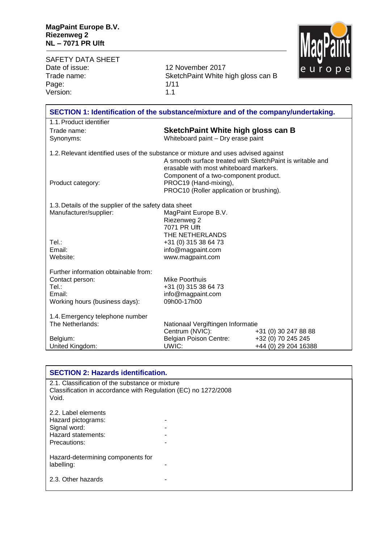MagPaint

| <b>SAFETY DATA SHEET</b>                                                           |                                                                                                                                                      |                                            | Шим |
|------------------------------------------------------------------------------------|------------------------------------------------------------------------------------------------------------------------------------------------------|--------------------------------------------|-----|
| Date of issue:                                                                     | 12 November 2017                                                                                                                                     |                                            |     |
| Trade name:                                                                        | SketchPaint White high gloss can B                                                                                                                   |                                            |     |
| Page:                                                                              | 1/11                                                                                                                                                 |                                            |     |
| Version:                                                                           | 1.1                                                                                                                                                  |                                            |     |
| SECTION 1: Identification of the substance/mixture and of the company/undertaking. |                                                                                                                                                      |                                            |     |
| 1.1. Product identifier                                                            |                                                                                                                                                      |                                            |     |
| Trade name:                                                                        | SketchPaint White high gloss can B                                                                                                                   |                                            |     |
| Synonyms:                                                                          | Whiteboard paint - Dry erase paint                                                                                                                   |                                            |     |
| 1.2. Relevant identified uses of the substance or mixture and uses advised against | A smooth surface treated with SketchPaint is writable and                                                                                            |                                            |     |
| Product category:                                                                  | erasable with most whiteboard markers.<br>Component of a two-component product.<br>PROC19 (Hand-mixing),<br>PROC10 (Roller application or brushing). |                                            |     |
| 1.3. Details of the supplier of the safety data sheet                              |                                                                                                                                                      |                                            |     |
| Manufacturer/supplier:                                                             | MagPaint Europe B.V.<br>Riezenweg 2<br>7071 PR Ulft                                                                                                  |                                            |     |
|                                                                                    | THE NETHERLANDS                                                                                                                                      |                                            |     |
| Tel.:<br>Email:                                                                    | +31 (0) 315 38 64 73<br>info@magpaint.com                                                                                                            |                                            |     |
| Website:                                                                           | www.magpaint.com                                                                                                                                     |                                            |     |
| Further information obtainable from:                                               |                                                                                                                                                      |                                            |     |
| Contact person:                                                                    | Mike Poorthuis                                                                                                                                       |                                            |     |
| Tel.:                                                                              | +31 (0) 315 38 64 73                                                                                                                                 |                                            |     |
| Email:<br>Working hours (business days):                                           | info@magpaint.com<br>09h00-17h00                                                                                                                     |                                            |     |
| 1.4. Emergency telephone number                                                    |                                                                                                                                                      |                                            |     |
| The Netherlands:                                                                   | Nationaal Vergiftingen Informatie                                                                                                                    |                                            |     |
|                                                                                    | Centrum (NVIC):                                                                                                                                      | +31 (0) 30 247 88 88                       |     |
| Belgium:                                                                           |                                                                                                                                                      |                                            |     |
|                                                                                    |                                                                                                                                                      |                                            |     |
| United Kingdom:                                                                    | <b>Belgian Poison Centre:</b><br>UWIC:                                                                                                               | +32 (0) 70 245 245<br>+44 (0) 29 204 16388 |     |

|                                                                                                                            | <b>SECTION 2: Hazards identification.</b> |  |
|----------------------------------------------------------------------------------------------------------------------------|-------------------------------------------|--|
| 2.1. Classification of the substance or mixture<br>Classification in accordance with Regulation (EC) no 1272/2008<br>Void. |                                           |  |
| 2.2. Label elements<br>Hazard pictograms:<br>Signal word:<br>Hazard statements:<br>Precautions:                            |                                           |  |
| Hazard-determining components for<br>labelling:                                                                            |                                           |  |
| 2.3. Other hazards                                                                                                         |                                           |  |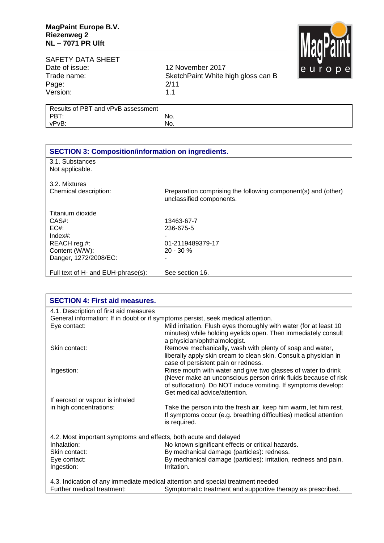

## SAFETY DATA SHEET<br>Date of issue: Date of issue: 12 November 2017<br>Trade name: 5 SketchPaint White b Page: 2/11<br>Version: 2011 Version:

SketchPaint White high gloss can B<br>2/11

| Results of PBT and vPvB assessment |     |
|------------------------------------|-----|
| PBT:                               | No. |
| vPvB:                              | No. |
|                                    |     |

| <b>SECTION 3: Composition/information on ingredients.</b> |                                                               |  |
|-----------------------------------------------------------|---------------------------------------------------------------|--|
| 3.1. Substances                                           |                                                               |  |
| Not applicable.                                           |                                                               |  |
|                                                           |                                                               |  |
| 3.2. Mixtures                                             |                                                               |  |
| Chemical description:                                     | Preparation comprising the following component(s) and (other) |  |
|                                                           | unclassified components.                                      |  |
|                                                           |                                                               |  |
| Titanium dioxide                                          |                                                               |  |
| CAS#:                                                     | 13463-67-7                                                    |  |
| EC#                                                       | 236-675-5                                                     |  |
| $Index#$ :                                                |                                                               |  |
| REACH reg.#:                                              | 01-2119489379-17                                              |  |
| Content (W/W):                                            | $20 - 30 \%$                                                  |  |
| Danger, 1272/2008/EC:                                     |                                                               |  |
|                                                           |                                                               |  |
| Full text of H- and EUH-phrase(s):                        | See section 16.                                               |  |
|                                                           |                                                               |  |

| <b>SECTION 4: First aid measures.</b>                            |                                                                                                                                                                                                                                   |
|------------------------------------------------------------------|-----------------------------------------------------------------------------------------------------------------------------------------------------------------------------------------------------------------------------------|
| 4.1. Description of first aid measures                           |                                                                                                                                                                                                                                   |
|                                                                  | General information: If in doubt or if symptoms persist, seek medical attention.                                                                                                                                                  |
| Eye contact:                                                     | Mild irritation. Flush eyes thoroughly with water (for at least 10<br>minutes) while holding eyelids open. Then immediately consult<br>a physician/ophthalmologist.                                                               |
| Skin contact:                                                    | Remove mechanically, wash with plenty of soap and water,<br>liberally apply skin cream to clean skin. Consult a physician in<br>case of persistent pain or redness.                                                               |
| Ingestion:                                                       | Rinse mouth with water and give two glasses of water to drink<br>(Never make an unconscious person drink fluids because of risk<br>of suffocation). Do NOT induce vomiting. If symptoms develop:<br>Get medical advice/attention. |
| If aerosol or vapour is inhaled                                  |                                                                                                                                                                                                                                   |
| in high concentrations:                                          | Take the person into the fresh air, keep him warm, let him rest.<br>If symptoms occur (e.g. breathing difficulties) medical attention<br>is required.                                                                             |
| 4.2. Most important symptoms and effects, both acute and delayed |                                                                                                                                                                                                                                   |
| Inhalation:                                                      | No known significant effects or critical hazards.                                                                                                                                                                                 |
| Skin contact:                                                    | By mechanical damage (particles): redness.                                                                                                                                                                                        |
| Eye contact:<br>Ingestion:                                       | By mechanical damage (particles): irritation, redness and pain.<br>Irritation.                                                                                                                                                    |
|                                                                  | 4.3. Indication of any immediate medical attention and special treatment needed                                                                                                                                                   |
| Further medical treatment:                                       | Symptomatic treatment and supportive therapy as prescribed.                                                                                                                                                                       |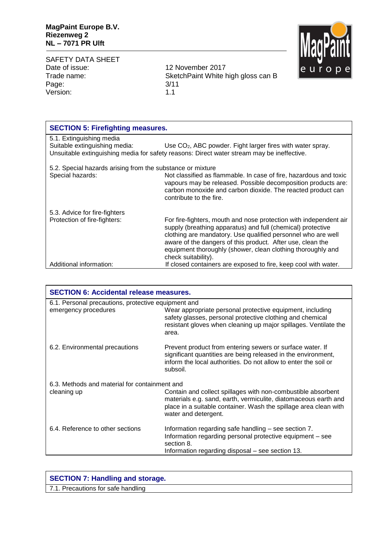SAFETY DATA SHEET Date of issue: 12 November 2017 Page: 3/11 Version: 1.1

Trade name: SketchPaint White high gloss can B



| <b>SECTION 6: Accidental release measures.</b>                              |                                                                                                                                                                                                                             |  |
|-----------------------------------------------------------------------------|-----------------------------------------------------------------------------------------------------------------------------------------------------------------------------------------------------------------------------|--|
| 6.1. Personal precautions, protective equipment and<br>emergency procedures | Wear appropriate personal protective equipment, including<br>safety glasses, personal protective clothing and chemical<br>resistant gloves when cleaning up major spillages. Ventilate the                                  |  |
|                                                                             | area.                                                                                                                                                                                                                       |  |
| 6.2. Environmental precautions                                              | Prevent product from entering sewers or surface water. If<br>significant quantities are being released in the environment,<br>inform the local authorities. Do not allow to enter the soil or<br>subsoil.                   |  |
| 6.3. Methods and material for containment and                               |                                                                                                                                                                                                                             |  |
| cleaning up                                                                 | Contain and collect spillages with non-combustible absorbent<br>materials e.g. sand, earth, vermiculite, diatomaceous earth and<br>place in a suitable container. Wash the spillage area clean with<br>water and detergent. |  |
| 6.4. Reference to other sections                                            | Information regarding safe handling – see section 7.<br>Information regarding personal protective equipment – see<br>section 8.<br>Information regarding disposal – see section 13.                                         |  |

| <b>SECTION 7: Handling and storage.</b> |
|-----------------------------------------|
| 7.1. Precautions for safe handling      |

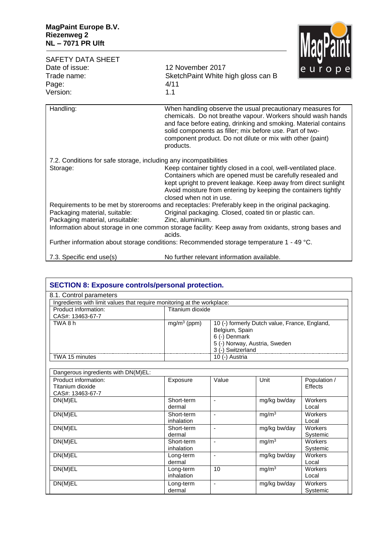

| SAFETY DATA SHEET<br>Date of issue:<br>Trade name:                            | 12 November 2017<br>SketchPaint White high gloss can B                                                                                                                                                                                                                                                                              | <u>ilinai mill</u><br>europe |
|-------------------------------------------------------------------------------|-------------------------------------------------------------------------------------------------------------------------------------------------------------------------------------------------------------------------------------------------------------------------------------------------------------------------------------|------------------------------|
| Page:<br>Version:                                                             | 4/11<br>1.1                                                                                                                                                                                                                                                                                                                         |                              |
| Handling:                                                                     | When handling observe the usual precautionary measures for<br>chemicals. Do not breathe vapour. Workers should wash hands<br>and face before eating, drinking and smoking. Material contains<br>solid components as filler; mix before use. Part of two-<br>component product. Do not dilute or mix with other (paint)<br>products. |                              |
| 7.2. Conditions for safe storage, including any incompatibilities<br>Storage: | Keep container tightly closed in a cool, well-ventilated place.<br>Containers which are opened must be carefully resealed and<br>kept upright to prevent leakage. Keep away from direct sunlight<br>Avoid moisture from entering by keeping the containers tightly<br>closed when not in use.                                       |                              |
| Packaging material, suitable:<br>Packaging material, unsuitable:              | Requirements to be met by storerooms and receptacles: Preferably keep in the original packaging.<br>Original packaging. Closed, coated tin or plastic can.<br>Zinc, aluminium.                                                                                                                                                      |                              |
|                                                                               | Information about storage in one common storage facility: Keep away from oxidants, strong bases and<br>acids.<br>Further information about storage conditions: Recommended storage temperature 1 - 49 °C.                                                                                                                           |                              |
| 7.3. Specific end use(s)                                                      | No further relevant information available.                                                                                                                                                                                                                                                                                          |                              |

| <b>SECTION 8: Exposure controls/personal protection.</b>                |                          |                                                    |                                               |                         |
|-------------------------------------------------------------------------|--------------------------|----------------------------------------------------|-----------------------------------------------|-------------------------|
| 8.1. Control parameters                                                 |                          |                                                    |                                               |                         |
| Ingredients with limit values that require monitoring at the workplace: |                          |                                                    |                                               |                         |
| Product information:                                                    | Titanium dioxide         |                                                    |                                               |                         |
| CAS#: 13463-67-7                                                        |                          |                                                    |                                               |                         |
| TWA8h                                                                   | $mg/m3$ (ppm)            | Belgium, Spain<br>6 (-) Denmark                    | 10 (-) formerly Dutch value, France, England, |                         |
|                                                                         |                          | 5 (-) Norway, Austria, Sweden<br>3 (-) Switzerland |                                               |                         |
| TWA 15 minutes                                                          |                          | 10 (-) Austria                                     |                                               |                         |
| Dangerous ingredients with DN(M)EL:                                     |                          |                                                    |                                               |                         |
| Product information:                                                    | Exposure                 | Value                                              | Unit                                          | Population /            |
| Titanium dioxide                                                        |                          |                                                    |                                               | Effects                 |
| CAS#: 13463-67-7                                                        |                          |                                                    |                                               |                         |
| DN(M)EL                                                                 | Short-term<br>dermal     |                                                    | mg/kg bw/day                                  | Workers<br>Local        |
| DN(M)EL                                                                 | Short-term<br>inhalation |                                                    | mg/m <sup>3</sup>                             | <b>Workers</b><br>Local |
| DN(M)EL                                                                 | Short-term<br>dermal     | $\blacksquare$                                     | mg/kg bw/day                                  | Workers<br>Systemic     |
| DN(M)EL                                                                 | Short-term<br>inhalation | $\tilde{\phantom{a}}$                              | $mg/m^3$                                      | Workers<br>Systemic     |
| DN(M)EL                                                                 | Long-term<br>dermal      | $\overline{\phantom{m}}$                           | mg/kg bw/day                                  | Workers<br>Local        |
| DN(M)EL                                                                 | Long-term<br>inhalation  | 10                                                 | mg/m <sup>3</sup>                             | Workers<br>Local        |
| DN(M)EL                                                                 | Long-term<br>dermal      |                                                    | mg/kg bw/day                                  | Workers<br>Systemic     |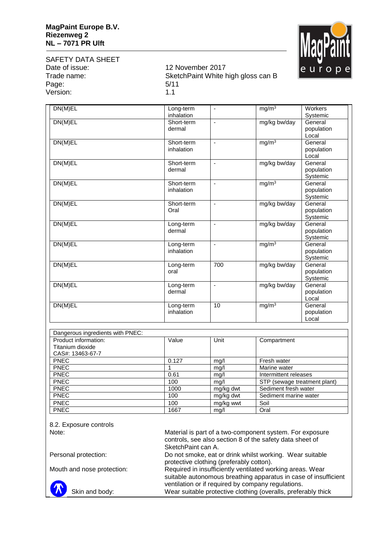

## SAFETY DATA SHEET<br>Date of issue: Page: 5/11 Version: 1.1

## 12 November 2017 Trade name: SketchPaint White high gloss can B

| DN(M)EL                          | Long-term  | $\overline{\phantom{a}}$ | mg/m <sup>3</sup>            | Workers    |
|----------------------------------|------------|--------------------------|------------------------------|------------|
|                                  | inhalation |                          |                              | Systemic   |
| DN(M)EL                          | Short-term | $\overline{a}$           | mg/kg bw/day                 | General    |
|                                  | dermal     |                          |                              | population |
|                                  |            |                          |                              | Local      |
| DN(M)EL                          | Short-term | ä,                       | mg/m <sup>3</sup>            | General    |
|                                  | inhalation |                          |                              | population |
|                                  |            |                          |                              | Local      |
| DN(M)EL                          | Short-term | ä,                       | mg/kg bw/day                 | General    |
|                                  | dermal     |                          |                              | population |
|                                  |            |                          |                              | Systemic   |
| DN(M)EL                          | Short-term | $\blacksquare$           | mg/m <sup>3</sup>            | General    |
|                                  | inhalation |                          |                              | population |
|                                  |            |                          |                              | Systemic   |
| DN(M)EL                          | Short-term | ä,                       | mg/kg bw/day                 | General    |
|                                  | Oral       |                          |                              | population |
|                                  |            |                          |                              | Systemic   |
| DN(M)EL                          | Long-term  | $\overline{\phantom{a}}$ | mg/kg bw/day                 | General    |
|                                  | dermal     |                          |                              | population |
|                                  |            |                          |                              | Systemic   |
| DN(M)EL                          | Long-term  | L,                       | mg/m <sup>3</sup>            | General    |
|                                  | inhalation |                          |                              | population |
|                                  |            |                          |                              | Systemic   |
| DN(M)EL                          | Long-term  | 700                      | mg/kg bw/day                 | General    |
|                                  | oral       |                          |                              | population |
|                                  |            |                          |                              | Systemic   |
| DN(M)EL                          | Long-term  | $\blacksquare$           | mg/kg bw/day                 | General    |
|                                  | dermal     |                          |                              | population |
|                                  |            |                          |                              | Local      |
| DN(M)EL                          | Long-term  | 10                       | mg/m <sup>3</sup>            | General    |
|                                  | inhalation |                          |                              | population |
|                                  |            |                          |                              | Local      |
|                                  |            |                          |                              |            |
| Dangerous ingredients with PNEC: |            |                          |                              |            |
| Product information:             | Value      | Unit                     | Compartment                  |            |
| Titanium dioxide                 |            |                          |                              |            |
| CAS#: 13463-67-7                 |            |                          |                              |            |
| PNEC                             | 0.127      | mg/l                     | Fresh water                  |            |
| <b>PNEC</b>                      | 1          | mg/l                     | Marine water                 |            |
| <b>PNEC</b>                      | 0.61       | mg/l                     | Intermittent releases        |            |
| <b>PNEC</b>                      | 100        | mq/l                     | STP (sewage treatment plant) |            |
| <b>PNEC</b>                      | 1000       | mg/kg dwt                | Sediment fresh water         |            |
| <b>PNEC</b>                      | 100        | mg/kg dwt                | Sediment marine water        |            |

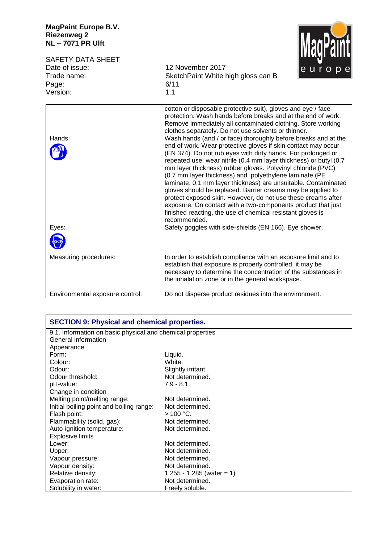

| <b>SAFETY DATA SHEET</b><br>Date of issue:<br>Trade name:<br>Page: | 12 November 2017<br>SketchPaint White high gloss can B<br>6/11                                                                                                                                                                                                                                                                                                                                                                                                                                                                                                                                                                                                                                                                                                                                                                                                                                                                                                                                                                                               | <u>Innan mille</u><br>europe |
|--------------------------------------------------------------------|--------------------------------------------------------------------------------------------------------------------------------------------------------------------------------------------------------------------------------------------------------------------------------------------------------------------------------------------------------------------------------------------------------------------------------------------------------------------------------------------------------------------------------------------------------------------------------------------------------------------------------------------------------------------------------------------------------------------------------------------------------------------------------------------------------------------------------------------------------------------------------------------------------------------------------------------------------------------------------------------------------------------------------------------------------------|------------------------------|
| Version:                                                           | 1.1                                                                                                                                                                                                                                                                                                                                                                                                                                                                                                                                                                                                                                                                                                                                                                                                                                                                                                                                                                                                                                                          |                              |
| Hands:<br>Eyes:                                                    | cotton or disposable protective suit), gloves and eye / face<br>protection. Wash hands before breaks and at the end of work.<br>Remove immediately all contaminated clothing. Store working<br>clothes separately. Do not use solvents or thinner.<br>Wash hands (and / or face) thoroughly before breaks and at the<br>end of work. Wear protective gloves if skin contact may occur<br>(EN 374). Do not rub eyes with dirty hands. For prolonged or<br>repeated use: wear nitrile (0.4 mm layer thickness) or butyl (0.7<br>mm layer thickness) rubber gloves. Polyvinyl chloride (PVC)<br>(0.7 mm layer thickness) and polyethylene laminate (PE<br>laminate, 0.1 mm layer thickness) are unsuitable. Contaminated<br>gloves should be replaced. Barrier creams may be applied to<br>protect exposed skin. However, do not use these creams after<br>exposure. On contact with a two-components product that just<br>finished reacting, the use of chemical resistant gloves is<br>recommended.<br>Safety goggles with side-shields (EN 166). Eye shower. |                              |
| Measuring procedures:                                              | In order to establish compliance with an exposure limit and to<br>establish that exposure is properly controlled, it may be<br>necessary to determine the concentration of the substances in<br>the inhalation zone or in the general workspace.                                                                                                                                                                                                                                                                                                                                                                                                                                                                                                                                                                                                                                                                                                                                                                                                             |                              |
| Environmental exposure control:                                    | Do not disperse product residues into the environment.                                                                                                                                                                                                                                                                                                                                                                                                                                                                                                                                                                                                                                                                                                                                                                                                                                                                                                                                                                                                       |                              |

| <b>SECTION 9: Physical and chemical properties.</b>        |                            |  |
|------------------------------------------------------------|----------------------------|--|
| 9.1. Information on basic physical and chemical properties |                            |  |
| General information                                        |                            |  |
| Appearance                                                 |                            |  |
| Form:                                                      | Liquid.                    |  |
| Colour:                                                    | White.                     |  |
| Odour:                                                     | Slightly irritant.         |  |
| Odour threshold:                                           | Not determined.            |  |
| pH-value:                                                  | $7.9 - 8.1$ .              |  |
| Change in condition                                        |                            |  |
| Melting point/melting range:                               | Not determined.            |  |
| Initial boiling point and boiling range:                   | Not determined.            |  |
| Flash point:                                               | $>$ 100 °C.                |  |
| Flammability (solid, gas):                                 | Not determined.            |  |
| Auto-ignition temperature:                                 | Not determined.            |  |
| <b>Explosive limits</b>                                    |                            |  |
| Lower:                                                     | Not determined.            |  |
| Upper:                                                     | Not determined.            |  |
| Vapour pressure:                                           | Not determined.            |  |
| Vapour density:                                            | Not determined.            |  |
| Relative density:                                          | 1.255 - 1.285 (water = 1). |  |
| Evaporation rate:                                          | Not determined.            |  |
| Solubility in water:                                       | Freely soluble.            |  |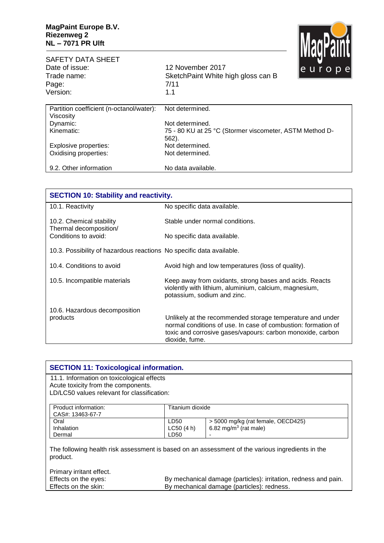

| <b>SAFETY DATA SHEET</b><br>Date of issue:<br>Trade name: | 12 November 2017<br>SketchPaint White high gloss can B           | Шилтер инде<br><u>le</u> urope |  |
|-----------------------------------------------------------|------------------------------------------------------------------|--------------------------------|--|
| Page:                                                     | 7/11                                                             |                                |  |
| Version:                                                  | 1.1                                                              |                                |  |
| Partition coefficient (n-octanol/water):                  | Not determined.                                                  |                                |  |
| Viscosity                                                 |                                                                  |                                |  |
| Dynamic:                                                  | Not determined.                                                  |                                |  |
| Kinematic:                                                | 75 - 80 KU at 25 °C (Stormer viscometer, ASTM Method D-<br>562). |                                |  |
| Explosive properties:                                     | Not determined.                                                  |                                |  |
| Oxidising properties:                                     | Not determined.                                                  |                                |  |
| 9.2. Other information                                    | No data available.                                               |                                |  |

| <b>SECTION 10: Stability and reactivity.</b>                         |                                                                                                                                                                                                            |  |
|----------------------------------------------------------------------|------------------------------------------------------------------------------------------------------------------------------------------------------------------------------------------------------------|--|
| 10.1. Reactivity                                                     | No specific data available.                                                                                                                                                                                |  |
| 10.2. Chemical stability<br>Thermal decomposition/                   | Stable under normal conditions.                                                                                                                                                                            |  |
| Conditions to avoid:                                                 | No specific data available.                                                                                                                                                                                |  |
| 10.3. Possibility of hazardous reactions No specific data available. |                                                                                                                                                                                                            |  |
| 10.4. Conditions to avoid                                            | Avoid high and low temperatures (loss of quality).                                                                                                                                                         |  |
| 10.5. Incompatible materials                                         | Keep away from oxidants, strong bases and acids. Reacts<br>violently with lithium, aluminium, calcium, magnesium,<br>potassium, sodium and zinc.                                                           |  |
| 10.6. Hazardous decomposition<br>products                            | Unlikely at the recommended storage temperature and under<br>normal conditions of use. In case of combustion: formation of<br>toxic and corrosive gases/vapours: carbon monoxide, carbon<br>dioxide, fume. |  |

| <b>SECTION 11: Toxicological information.</b>                                                                |                                                                 |                                    |  |
|--------------------------------------------------------------------------------------------------------------|-----------------------------------------------------------------|------------------------------------|--|
| 11.1. Information on toxicological effects<br>Acute toxicity from the components.                            |                                                                 |                                    |  |
| LD/LC50 values relevant for classification:                                                                  |                                                                 |                                    |  |
| Product information:<br>CAS#: 13463-67-7                                                                     | Titanium dioxide                                                |                                    |  |
| Oral                                                                                                         | LD50                                                            | > 5000 mg/kg (rat female, OECD425) |  |
| Inhalation                                                                                                   | LC50(4 h)                                                       | 6.82 mg/m <sup>3</sup> (rat male)  |  |
| Dermal                                                                                                       | LD50                                                            |                                    |  |
| The following health risk assessment is based on an assessment of the various ingredients in the<br>product. |                                                                 |                                    |  |
| Primary irritant effect.                                                                                     |                                                                 |                                    |  |
| Effects on the eyes:                                                                                         | By mechanical damage (particles): irritation, redness and pain. |                                    |  |
| By mechanical damage (particles): redness.<br>Effects on the skin:                                           |                                                                 |                                    |  |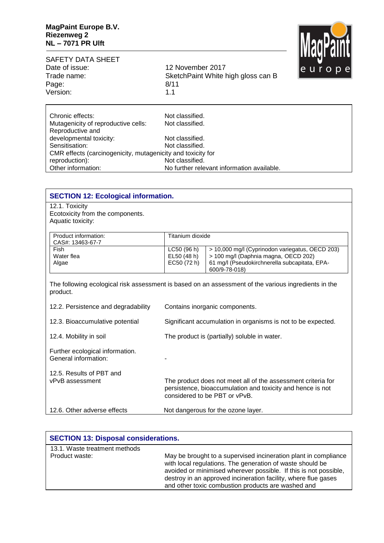

| SAFETY DATA SHEET |      |
|-------------------|------|
| Date of issue:    | 12 N |
| Trade name:       | Sket |
| Page:             | 8/11 |
| Version:          | 11   |
|                   |      |

12 November 2017 Trade name: SketchPaint White high gloss can B

| Chronic effects:                                            | Not classified.                            |  |  |
|-------------------------------------------------------------|--------------------------------------------|--|--|
| Mutagenicity of reproductive cells:                         | Not classified.                            |  |  |
| Reproductive and                                            |                                            |  |  |
| developmental toxicity:                                     | Not classified.                            |  |  |
| Sensitisation:                                              | Not classified.                            |  |  |
| CMR effects (carcinogenicity, mutagenicity and toxicity for |                                            |  |  |
| reproduction):                                              | Not classified.                            |  |  |
| Other information:                                          | No further relevant information available. |  |  |

| <b>SECTION 12: Ecological information.</b>                                                                       |                                                                                                                                                             |                                                                                                                                                           |  |
|------------------------------------------------------------------------------------------------------------------|-------------------------------------------------------------------------------------------------------------------------------------------------------------|-----------------------------------------------------------------------------------------------------------------------------------------------------------|--|
| 12.1. Toxicity<br>Ecotoxicity from the components.<br>Aquatic toxicity:                                          |                                                                                                                                                             |                                                                                                                                                           |  |
| Product information:<br>CAS#: 13463-67-7                                                                         | Titanium dioxide                                                                                                                                            |                                                                                                                                                           |  |
| Fish<br>Water flea<br>Algae                                                                                      | LC50 (96 h)<br>EL50 (48 h)<br>EC50 (72 h)                                                                                                                   | > 10,000 mg/l (Cyprinodon variegatus, OECD 203)<br>> 100 mg/l (Daphnia magna, OECD 202)<br>61 mg/l (Pseudokirchnerella subcapitata, EPA-<br>600/9-78-018) |  |
| The following ecological risk assessment is based on an assessment of the various ingredients in the<br>product. |                                                                                                                                                             |                                                                                                                                                           |  |
| 12.2. Persistence and degradability                                                                              | Contains inorganic components.                                                                                                                              |                                                                                                                                                           |  |
| 12.3. Bioaccumulative potential                                                                                  | Significant accumulation in organisms is not to be expected.                                                                                                |                                                                                                                                                           |  |
| 12.4. Mobility in soil                                                                                           | The product is (partially) soluble in water.                                                                                                                |                                                                                                                                                           |  |
| Further ecological information.<br>General information:                                                          |                                                                                                                                                             |                                                                                                                                                           |  |
| 12.5. Results of PBT and<br>vPvB assessment                                                                      | The product does not meet all of the assessment criteria for<br>persistence, bioaccumulation and toxicity and hence is not<br>considered to be PBT or vPvB. |                                                                                                                                                           |  |
| 12.6. Other adverse effects                                                                                      |                                                                                                                                                             | Not dangerous for the ozone layer.                                                                                                                        |  |

| <b>SECTION 13: Disposal considerations.</b> |                                                                                                                                                                                                                                                                                                                          |  |
|---------------------------------------------|--------------------------------------------------------------------------------------------------------------------------------------------------------------------------------------------------------------------------------------------------------------------------------------------------------------------------|--|
| 13.1. Waste treatment methods               |                                                                                                                                                                                                                                                                                                                          |  |
| Product waste:                              | May be brought to a supervised incineration plant in compliance<br>with local regulations. The generation of waste should be<br>avoided or minimised wherever possible. If this is not possible,<br>destroy in an approved incineration facility, where flue gases<br>and other toxic combustion products are washed and |  |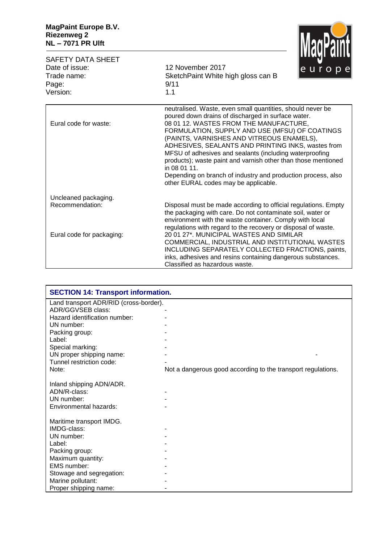

| <b>SAFETY DATA SHEET</b><br>Date of issue:<br>Trade name:                                                                                                                                                                                                                   | 12 November 2017<br>SketchPaint White high gloss can B                                                                                                                                                                                                                                                                                                                                                                                                                                                                                                              | europe |
|-----------------------------------------------------------------------------------------------------------------------------------------------------------------------------------------------------------------------------------------------------------------------------|---------------------------------------------------------------------------------------------------------------------------------------------------------------------------------------------------------------------------------------------------------------------------------------------------------------------------------------------------------------------------------------------------------------------------------------------------------------------------------------------------------------------------------------------------------------------|--------|
| Page:<br>Version:                                                                                                                                                                                                                                                           | 9/11<br>1.1                                                                                                                                                                                                                                                                                                                                                                                                                                                                                                                                                         |        |
| Eural code for waste:                                                                                                                                                                                                                                                       | neutralised. Waste, even small quantities, should never be<br>poured down drains of discharged in surface water.<br>08 01 12. WASTES FROM THE MANUFACTURE,<br>FORMULATION, SUPPLY AND USE (MFSU) OF COATINGS<br>(PAINTS, VARNISHES AND VITREOUS ENAMELS),<br>ADHESIVES, SEALANTS AND PRINTING INKS, wastes from<br>MFSU of adhesives and sealants (including waterproofing<br>products); waste paint and varnish other than those mentioned<br>in 08 01 11.<br>Depending on branch of industry and production process, also<br>other EURAL codes may be applicable. |        |
| Uncleaned packaging.                                                                                                                                                                                                                                                        |                                                                                                                                                                                                                                                                                                                                                                                                                                                                                                                                                                     |        |
| Recommendation:<br>Disposal must be made according to official regulations. Empty<br>the packaging with care. Do not contaminate soil, water or<br>environment with the waste container. Comply with local<br>regulations with regard to the recovery or disposal of waste. |                                                                                                                                                                                                                                                                                                                                                                                                                                                                                                                                                                     |        |
| Eural code for packaging:                                                                                                                                                                                                                                                   | 20 01 27*, MUNICIPAL WASTES AND SIMILAR<br>COMMERCIAL, INDUSTRIAL AND INSTITUTIONAL WASTES<br>INCLUDING SEPARATELY COLLECTED FRACTIONS, paints,<br>inks, adhesives and resins containing dangerous substances.<br>Classified as hazardous waste.                                                                                                                                                                                                                                                                                                                    |        |

| <b>SECTION 14: Transport information.</b> |                                                              |  |  |  |
|-------------------------------------------|--------------------------------------------------------------|--|--|--|
| Land transport ADR/RID (cross-border).    |                                                              |  |  |  |
| ADR/GGVSEB class:                         |                                                              |  |  |  |
| Hazard identification number:             |                                                              |  |  |  |
| UN number:                                |                                                              |  |  |  |
| Packing group:                            |                                                              |  |  |  |
| Label:                                    |                                                              |  |  |  |
| Special marking:                          |                                                              |  |  |  |
| UN proper shipping name:                  |                                                              |  |  |  |
| Tunnel restriction code:                  |                                                              |  |  |  |
| Note:                                     | Not a dangerous good according to the transport regulations. |  |  |  |
|                                           |                                                              |  |  |  |
| Inland shipping ADN/ADR.                  |                                                              |  |  |  |
| ADN/R-class:                              |                                                              |  |  |  |
| UN number:                                |                                                              |  |  |  |
| Environmental hazards:                    |                                                              |  |  |  |
|                                           |                                                              |  |  |  |
| Maritime transport IMDG.                  |                                                              |  |  |  |
| IMDG-class:                               |                                                              |  |  |  |
| UN number:                                |                                                              |  |  |  |
| Label:                                    |                                                              |  |  |  |
| Packing group:                            |                                                              |  |  |  |
| Maximum quantity:                         |                                                              |  |  |  |
| EMS number:                               |                                                              |  |  |  |
| Stowage and segregation:                  |                                                              |  |  |  |
| Marine pollutant:                         |                                                              |  |  |  |
| Proper shipping name:                     |                                                              |  |  |  |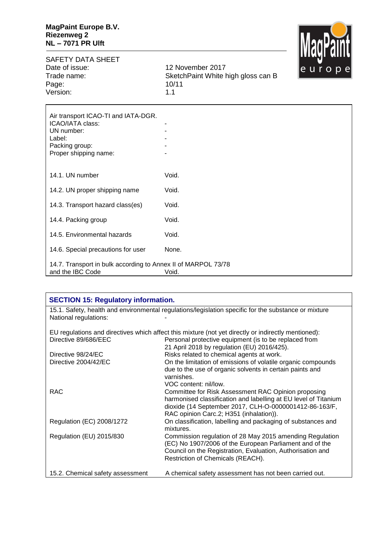

SAFETY DATA SHEET<br>Date of issue: Date of issue: 12 November 2017<br>Trade name: 5 SketchPaint White https://www.frankland.com Page: 10/11/11/2012 10/11/11 Version:

SketchPaint White high gloss can B<br>10/11

| Air transport ICAO-TI and IATA-DGR.<br>ICAO/IATA class:<br>UN number:<br>Label:<br>Packing group:<br>Proper shipping name: |       |
|----------------------------------------------------------------------------------------------------------------------------|-------|
| 14.1. UN number                                                                                                            | Void. |
| 14.2. UN proper shipping name                                                                                              | Void. |
| 14.3. Transport hazard class(es)                                                                                           | Void. |
| 14.4. Packing group                                                                                                        | Void. |
| 14.5. Environmental hazards                                                                                                | Void. |
| 14.6. Special precautions for user                                                                                         | None. |
| 14.7. Transport in bulk according to Annex II of MARPOL 73/78<br>and the IBC Code                                          | Void. |

| <b>SECTION 15: Regulatory information.</b>                                                                                    |                                                                                                                                                                                                                                                                                     |  |  |
|-------------------------------------------------------------------------------------------------------------------------------|-------------------------------------------------------------------------------------------------------------------------------------------------------------------------------------------------------------------------------------------------------------------------------------|--|--|
| 15.1. Safety, health and environmental regulations/legislation specific for the substance or mixture<br>National regulations: |                                                                                                                                                                                                                                                                                     |  |  |
| EU regulations and directives which affect this mixture (not yet directly or indirectly mentioned):                           |                                                                                                                                                                                                                                                                                     |  |  |
| Directive 89/686/EEC<br>Personal protective equipment (is to be replaced from<br>21 April 2018 by regulation (EU) 2016/425).  |                                                                                                                                                                                                                                                                                     |  |  |
| Risks related to chemical agents at work.<br>Directive 98/24/EC                                                               |                                                                                                                                                                                                                                                                                     |  |  |
| Directive 2004/42/EC                                                                                                          | On the limitation of emissions of volatile organic compounds                                                                                                                                                                                                                        |  |  |
| <b>RAC</b>                                                                                                                    | due to the use of organic solvents in certain paints and<br>varnishes.<br>VOC content: nil/low.<br>Committee for Risk Assessment RAC Opinion proposing<br>harmonised classification and labelling at EU level of Titanium<br>dioxide (14 September 2017, CLH-O-0000001412-86-163/F, |  |  |
|                                                                                                                               | RAC opinion Carc.2; H351 (inhalation)).                                                                                                                                                                                                                                             |  |  |
| Regulation (EC) 2008/1272                                                                                                     | On classification, labelling and packaging of substances and<br>mixtures.                                                                                                                                                                                                           |  |  |
| Regulation (EU) 2015/830                                                                                                      | Commission regulation of 28 May 2015 amending Regulation<br>(EC) No 1907/2006 of the European Parliament and of the<br>Council on the Registration, Evaluation, Authorisation and<br>Restriction of Chemicals (REACH).                                                              |  |  |
| 15.2. Chemical safety assessment                                                                                              | A chemical safety assessment has not been carried out.                                                                                                                                                                                                                              |  |  |